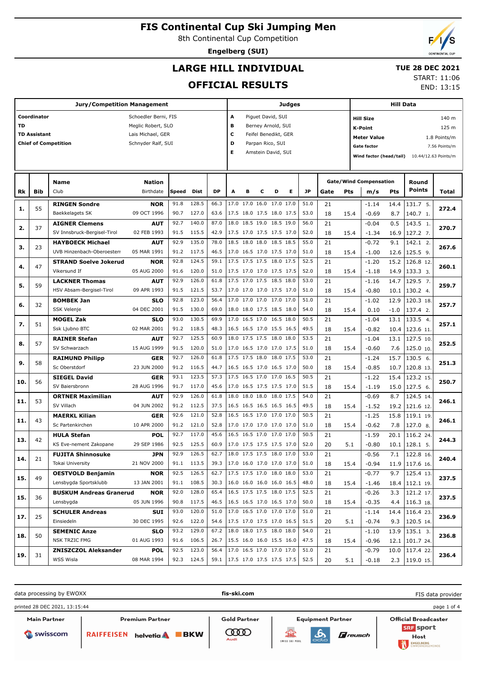8th Continental Cup Competition

**Engelberg (SUI)**

## **LARGE HILL INDIVIDUAL**

### **TUE 28 DEC 2021** START: 11:06

**OFFICIAL RESULTS**

|           | <b>Jury/Competition Management</b> |                                         |                           |              |                |              |                           |   | Judges                                               |   |   |              |          |      |                                                                                     | <b>Hill Data</b> |                              |       |  |
|-----------|------------------------------------|-----------------------------------------|---------------------------|--------------|----------------|--------------|---------------------------|---|------------------------------------------------------|---|---|--------------|----------|------|-------------------------------------------------------------------------------------|------------------|------------------------------|-------|--|
|           | Coordinator                        |                                         | Schoedler Berni, FIS      |              |                |              | Piguet David, SUI<br>А    |   |                                                      |   |   |              |          |      | 140 m<br><b>Hill Size</b>                                                           |                  |                              |       |  |
| <b>TD</b> |                                    |                                         | Meglic Robert, SLO        |              |                |              | в<br>Berney Arnold, SUI   |   |                                                      |   |   |              |          |      | <b>K-Point</b>                                                                      |                  |                              | 125 m |  |
|           | <b>TD Assistant</b>                |                                         | Lais Michael, GER         |              |                |              | c<br>Feifel Benedikt, GER |   |                                                      |   |   |              |          |      |                                                                                     |                  |                              |       |  |
|           |                                    | <b>Chief of Competition</b>             | Schnyder Ralf, SUI        |              |                |              | D<br>Parpan Rico, SUI     |   |                                                      |   |   |              |          |      | <b>Meter Value</b><br>1.8 Points/m                                                  |                  |                              |       |  |
|           |                                    |                                         |                           |              |                |              | Е<br>Amstein David, SUI   |   |                                                      |   |   |              |          |      | <b>Gate factor</b><br>7.56 Points/m<br>Wind factor (head/tail) 10.44/12.63 Points/m |                  |                              |       |  |
|           |                                    |                                         |                           |              |                |              |                           |   |                                                      |   |   |              |          |      |                                                                                     |                  |                              |       |  |
|           |                                    |                                         |                           |              |                |              |                           |   |                                                      |   |   |              |          |      |                                                                                     |                  |                              |       |  |
|           |                                    | <b>Name</b>                             | <b>Nation</b>             |              |                |              |                           |   |                                                      |   |   |              |          |      | <b>Gate/Wind Compensation</b>                                                       |                  | Round                        |       |  |
| Rk        | Bib                                | Club                                    | Birthdate                 | Speed        | Dist           | DP           | A                         | в | с                                                    | D | Е | JP           | Gate     | Pts  | m/s                                                                                 | Pts              | <b>Points</b>                | Total |  |
| 1.        | 55                                 | <b>RINGEN Sondre</b>                    | <b>NOR</b>                | 91.8         | 128.5          | 66.3         |                           |   | 17.0 17.0 16.0 17.0 17.0                             |   |   | 51.0         | 21       |      | $-1.14$                                                                             | 14.4             | 131.7 5.                     | 272.4 |  |
|           |                                    | Baekkelagets SK                         | 09 OCT 1996               | 90.7         | 127.0          | 63.6         |                           |   | 17.5 18.0 17.5 18.0 17.5                             |   |   | 53.0         | 18       | 15.4 | $-0.69$                                                                             | 8.7              | 140.7 1.                     |       |  |
| 2.        | 37                                 | <b>AIGNER Clemens</b>                   | <b>AUT</b>                | 92.7         | 140.0          | 87.0         |                           |   | 18.0 18.5 19.0 18.5 19.0                             |   |   | 56.0         | 21       |      | $-0.04$                                                                             | 0.5              | 143.5 1.                     | 270.7 |  |
|           |                                    | SV Innsbruck-Bergisel-Tirol             | 02 FEB 1993               | 91.5         | 115.5          | 42.9         |                           |   | 17.5 17.0 17.5 17.5 17.0                             |   |   | 52.0         | 18       | 15.4 | $-1.34$                                                                             | 16.9             | 127.2 7.                     |       |  |
| з.        | 23                                 | <b>HAYBOECK Michael</b>                 | <b>AUT</b>                | 92.9         | 135.0          | 78.0         |                           |   | 18.5 18.0 18.0 18.5 18.5                             |   |   | 55.0         | 21       |      | $-0.72$                                                                             | 9.1              | 142.1 2.                     | 267.6 |  |
|           |                                    | UVB Hinzenbach-Oberoesterr              | 05 MAR 1991               | 91.2         | 117.5          | 46.5         |                           |   | 17.0 16.5 17.0 17.5 17.0                             |   |   | 51.0         | 18       | 15.4 | $-1.00$                                                                             |                  | $12.6$   125.5 9.            |       |  |
| 4.        | 47                                 | <b>STRAND Soelve Jokerud</b>            | <b>NOR</b>                | 92.8         | 124.5          | 59.1         |                           |   | 17.5 17.5 17.5 18.0 17.5                             |   |   | 52.5         | 21       |      | $-1.20$                                                                             |                  | 15.2 126.8 12.               | 260.1 |  |
|           |                                    | Vikersund If                            | 05 AUG 2000               | 91.6         | 120.0          | 51.0         |                           |   | 17.5 17.0 17.0 17.5 17.5                             |   |   | 52.0         | 18       | 15.4 | $-1.18$                                                                             |                  | $14.9$   133.3 3.            |       |  |
| 5.        | 59                                 | <b>LACKNER Thomas</b>                   | <b>AUT</b>                | 92.9         | 126.0          | 61.8         |                           |   | 17.5 17.0 17.5 18.5 18.0                             |   |   | 53.0         | 21       |      | $-1.16$                                                                             | 14.7             | 129.5 7.                     | 259.7 |  |
|           |                                    | HSV Absam-Bergisel-Tirol                | 09 APR 1993               | 91.5         | 121.5          | 53.7         |                           |   | 17.0 17.0 17.0 17.5 17.0                             |   |   | 51.0         | 18       | 15.4 | $-0.80$                                                                             |                  | $10.1$   130.2 4.            |       |  |
| 6.        | 32                                 | <b>BOMBEK Jan</b>                       | <b>SLO</b>                | 92.8         | 123.0          | 56.4         |                           |   | 17.0 17.0 17.0 17.0 17.0                             |   |   | 51.0         | 21       |      | $-1.02$                                                                             | 12.9             | 120.3 18.                    | 257.7 |  |
|           |                                    | <b>SSK Velenje</b>                      | 04 DEC 2001               | 91.5         | 130.0          | 69.0         |                           |   | 18.0 18.0 17.5 18.5 18.0                             |   |   | 54.0         | 18       | 15.4 | 0.10                                                                                | $-1.0$           | 137.4 2.                     |       |  |
| 7.        | 51                                 | <b>MOGEL Zak</b>                        | <b>SLO</b>                | 93.0         | 130.5          | 69.9         |                           |   | 17.0 16.5 17.0 16.5 18.0                             |   |   | 50.5         | 21       |      | $-1.04$                                                                             | 13.1             | 133.54                       | 257.1 |  |
|           |                                    | Ssk Ljubno BTC                          | 02 MAR 2001               | 91.2         | 118.5          | 48.3         |                           |   | 16.5 16.5 17.0 15.5 16.5                             |   |   | 49.5         | 18       | 15.4 | $-0.82$                                                                             | 10.4             | 123.6 11.                    |       |  |
| 8.        | 57                                 | <b>RAINER Stefan</b>                    | <b>AUT</b>                | 92.7         | 125.5          | 60.9         |                           |   | 18.0 17.5 17.5 18.0 18.0                             |   |   | 53.5         | 21       |      | $-1.04$                                                                             | 13.1             | $127.5$ 10.                  | 252.5 |  |
|           |                                    | SV Schwarzach                           | 15 AUG 1999               | 91.5<br>92.7 | 120.0<br>126.0 | 51.0<br>61.8 |                           |   | 17.0 16.5 17.0 17.0 17.5<br>17.5 17.5 18.0 18.0 17.5 |   |   | 51.0<br>53.0 | 18       | 15.4 | $-0.60$                                                                             | 7.6              | 125.0 10.                    |       |  |
| 9.        | 58                                 | <b>RAIMUND Philipp</b><br>Sc Oberstdorf | <b>GER</b><br>23 JUN 2000 | 91.2         | 116.5          | 44.7         |                           |   | 16.5 16.5 17.0 16.5 17.0                             |   |   | 50.0         | 21<br>18 | 15.4 | $-1.24$<br>$-0.85$                                                                  | 15.7<br>10.7     | 130.5 6.<br>120.8 13.        | 251.3 |  |
|           |                                    | <b>SIEGEL David</b>                     | <b>GER</b>                | 93.1         | 123.5          | 57.3         |                           |   | 17.5 16.5 17.0 17.0 16.5                             |   |   | 50.5         | 21       |      | $-1.22$                                                                             | 15.4             | $123.2$ 15.                  |       |  |
| 10.       | 56                                 | SV Baiersbronn                          | 28 AUG 1996               | 91.7         | 117.0          | 45.6         |                           |   | 17.0 16.5 17.5 17.5 17.0                             |   |   | 51.5         | 18       | 15.4 | $-1.19$                                                                             |                  | $15.0$   127.5 6.            | 250.7 |  |
|           |                                    | <b>ORTNER Maximilian</b>                | <b>AUT</b>                | 92.9         | 126.0          | 61.8         | 18.0                      |   | 18.0 18.0 18.0 17.5                                  |   |   | 54.0         | 21       |      | $-0.69$                                                                             | 8.7              | 124.5 14.                    |       |  |
| 11.       | 53                                 | SV Villach                              | 04 JUN 2002               | 91.2         | 112.5          | 37.5         |                           |   | 16.5 16.5 16.5 16.5 16.5                             |   |   | 49.5         | 18       | 15.4 | $-1.52$                                                                             |                  | 19.2   121.6 12.             | 246.1 |  |
|           |                                    | <b>MAERKL Kilian</b>                    | <b>GER</b>                | 92.6         | 121.0          | 52.8         |                           |   | 16.5 16.5 17.0 17.0 17.0                             |   |   | 50.5         | 21       |      | $-1.25$                                                                             | 15.8             | 119.1 19.                    |       |  |
| 11.       | 43                                 | Sc Partenkirchen                        | 10 APR 2000               | 91.2         | 121.0          | 52.8         |                           |   | 17.0 17.0 17.0 17.0 17.0                             |   |   | 51.0         | 18       | 15.4 | $-0.62$                                                                             | 7.8              | 127.0 8.                     | 246.1 |  |
|           |                                    | <b>HULA Stefan</b>                      | <b>POL</b>                | 92.7         | 117.0          | 45.6         |                           |   | 16.5 16.5 17.0 17.0 17.0                             |   |   | 50.5         | 21       |      | $-1.59$                                                                             | 20.1             | 116.224                      |       |  |
| 13.       | 42                                 | KS Eve-nement Zakopane                  | 29 SEP 1986               | 92.5         | 125.5          | 60.9         |                           |   | 17.0 17.5 17.5 17.5 17.0                             |   |   | 52.0         | 20       | 5.1  | $-0.80$                                                                             |                  | $10.1$   128.1 5.            | 244.3 |  |
|           |                                    | <b>FUJITA Shinnosuke</b>                | <b>JPN</b>                | 92.9         | 126.5          | 62.7         |                           |   | 18.0 17.5 17.5 18.0 17.0                             |   |   | 53.0         | 21       |      | $-0.56$                                                                             | 7.1              | 122.8 16.                    |       |  |
| 14.       | 21                                 | Tokai University                        | 21 NOV 2000               |              | 91.1 113.5     | 39.3         | 17.0 16.0 17.0 17.0 17.0  |   |                                                      |   |   | 51.0         | 18       | 15.4 | $-0.94$                                                                             |                  | $11.9$ 117.6 16.             | 240.4 |  |
|           |                                    | <b>OESTVOLD Benjamin</b>                | <b>NOR</b>                | 92.5         | 126.5          | 62.7         |                           |   | 17.5 17.5 17.0 18.0 18.0                             |   |   | 53.0         | 21       |      | $-0.77$                                                                             | 9.7              | $125.4$ 13.                  |       |  |
| 15.       | 49                                 | Lensbygda Sportsklubb                   | 13 JAN 2001               |              | 91.1 108.5     | 30.3         |                           |   | 16.0 16.0 16.0 16.0 16.5                             |   |   | 48.0         | 18       | 15.4 | $-1.46$                                                                             |                  | 18.4 112.1 19.               | 237.5 |  |
|           |                                    | <b>BUSKUM Andreas Granerud</b>          | <b>NOR</b>                | 92.0         | 128.0          | 65.4         |                           |   | 16.5 17.5 17.5 18.0 17.5                             |   |   | 52.5         | 21       |      | $-0.26$                                                                             |                  | $\overline{3.3}$   121.2 17. |       |  |
| 15.       | 36                                 | Lensbygda                               | 05 JUN 1996               |              | 90.8 117.5     | 46.5         | 16.5 16.5 17.0 16.5 17.0  |   |                                                      |   |   | 50.0         | 18       | 15.4 | $-0.35$                                                                             |                  | $4.4$   116.3 18.            | 237.5 |  |
|           |                                    | <b>SCHULER Andreas</b>                  | <b>SUI</b>                | 93.0         | 120.0          | 51.0         |                           |   | 17.0 16.5 17.0 17.0 17.0                             |   |   | 51.0         | 21       |      | $-1.14$                                                                             |                  | 14.4   116.4 23.             | 236.9 |  |
| 17.       | 25                                 | Einsiedeln                              | 30 DEC 1995               |              | 92.6 122.0     | 54.6         |                           |   | 17.5 17.0 17.5 17.0 16.5                             |   |   | 51.5         | 20       | 5.1  | $-0.74$                                                                             |                  | 9.3 120.5 14.                |       |  |
| 18.       | 50                                 | <b>SEMENIC Anze</b>                     | <b>SLO</b>                | 93.2         | 129.0          | 67.2         |                           |   | 18.0 18.0 17.5 18.0 18.0                             |   |   | 54.0         | 21       |      | $-1.10$                                                                             |                  | $13.9$   135.1 3.            | 236.8 |  |
|           |                                    | <b>NSK TRZIC FMG</b>                    | 01 AUG 1993               |              | 91.6 106.5     | 26.7         |                           |   | 15.5 16.0 16.0 15.5 16.0                             |   |   | 47.5         | 18       | 15.4 | $-0.96$                                                                             |                  | 12.1 101.7 24.               |       |  |
| 19.       | 31                                 | <b>ZNISZCZOL Aleksander</b>             | <b>POL</b>                | 92.5         | 123.0          | 56.4         |                           |   | 17.0 16.5 17.0 17.0 17.0                             |   |   | 51.0         | 21       |      | $-0.79$                                                                             |                  | 10.0   117.4 22.             | 236.4 |  |
|           |                                    | WSS Wisla                               | 08 MAR 1994               |              | 92.3 124.5     | 59.1         | 17.5 17.0 17.5 17.5 17.5  |   |                                                      |   |   | 52.5         | 20       | 5.1  | $-0.18$                                                                             |                  | 2.3   119.0 15.              |       |  |

data processing by EWOXX **fis-ski.com** FIS data providerprinted 28 DEC 2021, 13:15:44 page 1 of 4 Main Partner Premium Partner **Gold Partner** Equipment Partner Official Broadcaster **SRF** sport **COOD**  $\mathbf{A}$ Swisscom RAIFFEISEN helvetia **BKW**  $\mathbf F$ reusch Host SWISS SKI POOL ENGELBERG



END: 13:15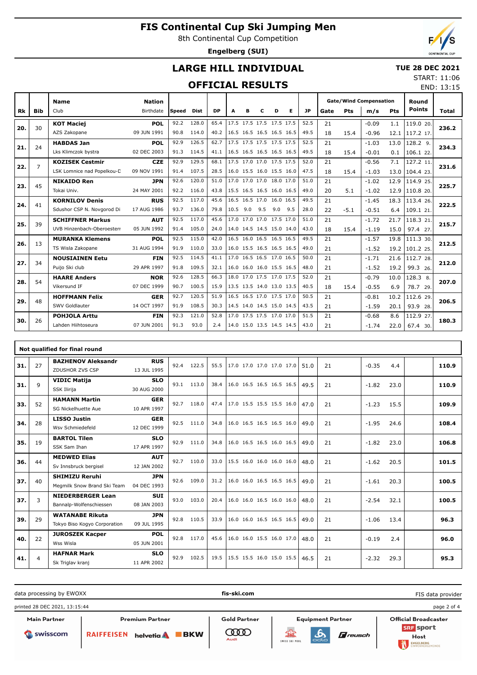8th Continental Cup Competition

**Engelberg (SUI)**

END: 13:15

### **LARGE HILL INDIVIDUAL**

 **TUE 28 DEC 2021** START: 11:06

### **OFFICIAL RESULTS**

|           |                | <b>Name</b>                | <b>Nation</b> |       |             |           |      |     |     |                          |     |      | <b>Gate/Wind Compensation</b> |            |         |            | Round         |       |
|-----------|----------------|----------------------------|---------------|-------|-------------|-----------|------|-----|-----|--------------------------|-----|------|-------------------------------|------------|---------|------------|---------------|-------|
| <b>Rk</b> | Bib            | Club                       | Birthdate     | Speed | <b>Dist</b> | <b>DP</b> | A    | в   | c   | D                        | Е   | JP   | Gate                          | <b>Pts</b> | m/s     | <b>Pts</b> | <b>Points</b> | Total |
|           |                | <b>KOT Maciej</b>          | POL           | 92.2  | 128.0       | 65.4      |      |     |     | 17.5 17.5 17.5 17.5 17.5 |     | 52.5 | 21                            |            | $-0.09$ | 1.1        | 119.0 20.     |       |
| 20.       | 30             | AZS Zakopane               | 09 JUN 1991   | 90.8  | 114.0       | 40.2      |      |     |     | 16.5 16.5 16.5 16.5 16.5 |     | 49.5 | 18                            | 15.4       | $-0.96$ | 12.1       | 117.2 17.     | 236.2 |
| 21.       | 24             | <b>HABDAS Jan</b>          | <b>POL</b>    | 92.9  | 126.5       | 62.7      |      |     |     | 17.5 17.5 17.5 17.5 17.5 |     | 52.5 | 21                            |            | $-1.03$ | 13.0       | 128.2 9.      | 234.3 |
|           |                | Lks Klimczok bystra        | 02 DEC 2003   | 91.3  | 114.5       | 41.1      |      |     |     | 16.5 16.5 16.5 16.5 16.5 |     | 49.5 | 18                            | 15.4       | $-0.01$ | 0.1        | 106.1 22.     |       |
| 22.       | $\overline{7}$ | <b>KOZISEK Cestmir</b>     | <b>CZE</b>    | 92.9  | 129.5       | 68.1      |      |     |     | 17.5 17.0 17.0 17.5 17.5 |     | 52.0 | 21                            |            | $-0.56$ | 7.1        | 127.2 11.     | 231.6 |
|           |                | LSK Lomnice nad Popelkou-D | 09 NOV 1991   | 91.4  | 107.5       | 28.5      |      |     |     | 16.0 15.5 16.0 15.5 16.0 |     | 47.5 | 18                            | 15.4       | $-1.03$ | 13.0       | 104.4 23.     |       |
| 23.       | 45             | <b>NIKAIDO Ren</b>         | <b>JPN</b>    | 92.6  | 120.0       | 51.0      |      |     |     | 17.0 17.0 17.0 18.0 17.0 |     | 51.0 | 21                            |            | $-1.02$ | 12.9       | 114.9 25.     | 225.7 |
|           |                | Tokai Univ.                | 24 MAY 2001   | 92.2  | 116.0       | 43.8      |      |     |     | 15.5 16.5 16.5 16.0 16.5 |     | 49.0 | 20                            | 5.1        | $-1.02$ | 12.9       | 110.8 20.     |       |
| 24.       | 41             | <b>KORNILOV Denis</b>      | <b>RUS</b>    | 92.5  | 117.0       | 45.6      |      |     |     | 16.5 16.5 17.0 16.0 16.5 |     | 49.5 | 21                            |            | $-1.45$ | 18.3       | 113.4 26.     | 222.5 |
|           |                | Sdushor CSP N. Novgorod Di | 17 AUG 1986   | 93.7  | 136.0       | 79.8      | 10.5 | 9.0 | 9.5 | 9.0                      | 9.5 | 28.0 | 22                            | $-5.1$     | $-0.51$ | 6.4        | 109.1 21.     |       |
| 25.       | 39             | <b>SCHIFFNER Markus</b>    | <b>AUT</b>    | 92.5  | 117.0       | 45.6      |      |     |     | 17.0 17.0 17.0 17.5 17.0 |     | 51.0 | 21                            |            | $-1.72$ | 21.7       | 118.3 21.     | 215.7 |
|           |                | UVB Hinzenbach-Oberoesterr | 05 JUN 1992   | 91.4  | 105.0       | 24.0      |      |     |     | 14.0 14.5 14.5 15.0 14.0 |     | 43.0 | 18                            | 15.4       | $-1.19$ | 15.0       | 97.4 27.      |       |
| 26.       | 13             | <b>MURANKA Klemens</b>     | <b>POL</b>    | 92.5  | 115.0       | 42.0      |      |     |     | 16.5 16.0 16.5 16.5 16.5 |     | 49.5 | 21                            |            | $-1.57$ | 19.8       | 111.3 30.     | 212.5 |
|           |                | TS Wisla Zakopane          | 31 AUG 1994   | 91.9  | 110.0       | 33.0      |      |     |     | 16.0 15.5 16.5 16.5 16.5 |     | 49.0 | 21                            |            | $-1.52$ | 19.2       | 101.2 25.     |       |
| 27.       | 34             | <b>NOUSIAINEN Eetu</b>     | <b>FIN</b>    | 92.5  | 114.5       | 41.1      |      |     |     | 17.0 16.5 16.5 17.0 16.5 |     | 50.0 | 21                            |            | $-1.71$ | 21.6       | 112.7 28.     | 212.0 |
|           |                | Puijo Ski club             | 29 APR 1997   | 91.8  | 109.5       | 32.1      |      |     |     | 16.0 16.0 16.0 15.5 16.5 |     | 48.0 | 21                            |            | $-1.52$ | 19.2       | 99.3 26.      |       |
| 28.       | 54             | <b>HAARE Anders</b>        | <b>NOR</b>    | 92.6  | 128.5       | 66.3      |      |     |     | 18.0 17.0 17.5 17.0 17.5 |     | 52.0 | 21                            |            | $-0.79$ | 10.0       | 128.3 8.      | 207.0 |
|           |                | Vikersund IF               | 07 DEC 1999   | 90.7  | 100.5       | 15.9      |      |     |     | 13.5 13.5 14.0 13.0 13.5 |     | 40.5 | 18                            | 15.4       | $-0.55$ | 6.9        | 78.7 29.      |       |
| 29.       | 48             | <b>HOFFMANN Felix</b>      | <b>GER</b>    | 92.7  | 120.5       | 51.9      |      |     |     | 16.5 16.5 17.0 17.5 17.0 |     | 50.5 | 21                            |            | $-0.81$ | 10.2       | 112.6 29.     | 206.5 |
|           |                | SWV Goldlauter             | 14 OCT 1997   | 91.9  | 108.5       | 30.3      |      |     |     | 14.5 14.0 14.5 15.0 14.5 |     | 43.5 | 21                            |            | $-1.59$ | 20.1       | 93.9 28.      |       |
| 30.       | 26             | <b>POHJOLA Arttu</b>       | <b>FIN</b>    | 92.3  | 121.0       | 52.8      |      |     |     | 17.0 17.5 17.5 17.0 17.0 |     | 51.5 | 21                            |            | $-0.68$ | 8.6        | 112.9 27.     | 180.3 |
|           |                | Lahden Hiihtoseura         | 07 JUN 2001   | 91.3  | 93.0        | 2.4       |      |     |     | 14.0 15.0 13.5 14.5 14.5 |     | 43.0 | 21                            |            | $-1.74$ | 22.0       | 67.4 30.      |       |

|     | Not qualified for final round |                              |             |      |       |      |                          |  |  |  |      |    |         |      |       |
|-----|-------------------------------|------------------------------|-------------|------|-------|------|--------------------------|--|--|--|------|----|---------|------|-------|
| 31. | 27                            | <b>BAZHENOV Aleksandr</b>    | <b>RUS</b>  | 92.4 | 122.5 | 55.5 | 17.0 17.0 17.0 17.0 17.0 |  |  |  | 51.0 | 21 | $-0.35$ | 4.4  | 110.9 |
|     |                               | ZDUSHOR ZVS CSP              | 13 JUL 1995 |      |       |      |                          |  |  |  |      |    |         |      |       |
| 31. | 9                             | <b>VIDIC Matija</b>          | <b>SLO</b>  | 93.1 | 113.0 | 38.4 | 16.0 16.5 16.5 16.5 16.5 |  |  |  | 49.5 | 21 | $-1.82$ | 23.0 | 110.9 |
|     |                               | SSK Ilirija                  | 30 AUG 2000 |      |       |      |                          |  |  |  |      |    |         |      |       |
| 33. | 52                            | <b>HAMANN Martin</b>         | <b>GER</b>  | 92.7 | 118.0 | 47.4 | 17.0 15.5 15.5 15.5 16.0 |  |  |  | 47.0 | 21 | $-1.23$ | 15.5 | 109.9 |
|     |                               | SG Nickelhuette Aue          | 10 APR 1997 |      |       |      |                          |  |  |  |      |    |         |      |       |
| 34. | 28                            | <b>LISSO Justin</b>          | <b>GER</b>  | 92.5 | 111.0 | 34.8 | 16.0 16.5 16.5 16.5 16.0 |  |  |  | 49.0 | 21 | $-1.95$ | 24.6 | 108.4 |
|     |                               | Wsv Schmiedefeld             | 12 DEC 1999 |      |       |      |                          |  |  |  |      |    |         |      |       |
| 35. | 19                            | <b>BARTOL Tilen</b>          | <b>SLO</b>  | 92.9 | 111.0 | 34.8 | 16.0 16.5 16.5 16.0 16.5 |  |  |  | 49.0 | 21 | $-1.82$ | 23.0 | 106.8 |
|     |                               | SSK Sam Ihan                 | 17 APR 1997 |      |       |      |                          |  |  |  |      |    |         |      |       |
| 36. | 44                            | <b>MEDWED Elias</b>          | <b>AUT</b>  | 92.7 | 110.0 | 33.0 | 15.5 16.0 16.0 16.0 16.0 |  |  |  | 48.0 | 21 | $-1.62$ | 20.5 | 101.5 |
|     |                               | Sv Innsbruck bergisel        | 12 JAN 2002 |      |       |      |                          |  |  |  |      |    |         |      |       |
| 37. | 40                            | <b>SHIMIZU Reruhi</b>        | <b>JPN</b>  | 92.6 | 109.0 | 31.2 | 16.0 16.0 16.5 16.5 16.5 |  |  |  | 49.0 | 21 | $-1.61$ | 20.3 | 100.5 |
|     |                               | Megmilk Snow Brand Ski Team  | 04 DEC 1993 |      |       |      |                          |  |  |  |      |    |         |      |       |
| 37. | 3                             | <b>NIEDERBERGER Lean</b>     | <b>SUI</b>  | 93.0 | 103.0 | 20.4 | 16.0 16.0 16.5 16.0 16.0 |  |  |  | 48.0 | 21 | $-2.54$ | 32.1 | 100.5 |
|     |                               | Bannalp-Wolfenschiessen      | 08 JAN 2003 |      |       |      |                          |  |  |  |      |    |         |      |       |
| 39. | 29                            | <b>WATANABE Rikuta</b>       | <b>JPN</b>  | 92.8 | 110.5 | 33.9 | 16.0 16.0 16.5 16.5 16.5 |  |  |  | 49.0 | 21 | $-1.06$ | 13.4 | 96.3  |
|     |                               | Tokyo Biso Kogyo Corporation | 09 JUL 1995 |      |       |      |                          |  |  |  |      |    |         |      |       |
| 40. | 22                            | <b>JUROSZEK Kacper</b>       | <b>POL</b>  | 92.8 | 117.0 | 45.6 | 16.0 16.0 15.5 16.0 17.0 |  |  |  | 48.0 | 21 | $-0.19$ | 2.4  | 96.0  |
|     |                               | Wss Wisla                    | 05 JUN 2001 |      |       |      |                          |  |  |  |      |    |         |      |       |
| 41. | 4                             | <b>HAFNAR Mark</b>           | <b>SLO</b>  | 92.9 | 102.5 | 19.5 | 15.5 15.5 16.0 15.0 15.5 |  |  |  | 46.5 | 21 | $-2.32$ | 29.3 | 95.3  |
|     |                               | Sk Triglav kranj             | 11 APR 2002 |      |       |      |                          |  |  |  |      |    |         |      |       |

data processing by EWOXX **fis-ski.com** FIS data providerprinted 28 DEC 2021, 13:15:44 page 2 of 4 Main Partner Premium Partner **Gold Partner** Equipment Partner Official Broadcaster **SRF** sport **COOD** Swisscom RAIFFEISEN helvetia **BKW**  $\mathbf F$ reusch Host ENGELBERG



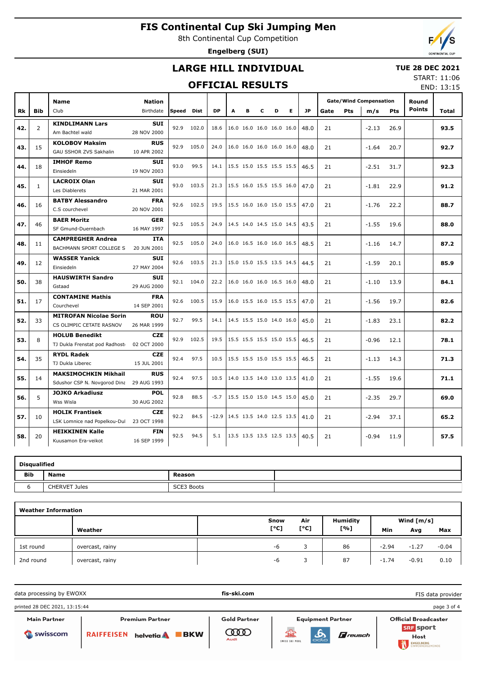8th Continental Cup Competition

**Engelberg (SUI)**

### **LARGE HILL INDIVIDUAL**

### **TUE 28 DEC 2021**

### **OFFICIAL RESULTS**

START: 11:06 END: 13:15

|     |                | <b>Name</b>                                                 | <b>Nation</b>             |            |            |           |                                      |   |   |   |   |      |      |            | <b>Gate/Wind Compensation</b> |            | Round         |       |
|-----|----------------|-------------------------------------------------------------|---------------------------|------------|------------|-----------|--------------------------------------|---|---|---|---|------|------|------------|-------------------------------|------------|---------------|-------|
| Rk  | <b>Bib</b>     | Club                                                        | Birthdate                 | Speed Dist |            | <b>DP</b> | Α                                    | в | c | D | Е | JP   | Gate | <b>Pts</b> | m/s                           | <b>Pts</b> | <b>Points</b> | Total |
| 42. | $\overline{2}$ | <b>KINDLIMANN Lars</b><br>Am Bachtel wald                   | <b>SUI</b><br>28 NOV 2000 | 92.9       | 102.0      | 18.6      | 16.0 16.0 16.0 16.0 16.0             |   |   |   |   | 48.0 | 21   |            | $-2.13$                       | 26.9       |               | 93.5  |
| 43. | 15             | <b>KOLOBOV Maksim</b><br>GAU SSHOR ZVS Sakhalin             | <b>RUS</b><br>10 APR 2002 | 92.9       | 105.0      | 24.0      | 16.0 16.0 16.0 16.0 16.0             |   |   |   |   | 48.0 | 21   |            | $-1.64$                       | 20.7       |               | 92.7  |
| 44. | 18             | <b>IMHOF Remo</b><br>Einsiedeln                             | <b>SUI</b><br>19 NOV 2003 | 93.0       | 99.5       |           | 14.1 15.5 15.0 15.5 15.5 15.5        |   |   |   |   | 46.5 | 21   |            | $-2.51$                       | 31.7       |               | 92.3  |
| 45. | $\mathbf{1}$   | <b>LACROIX Olan</b><br>Les Diablerets                       | <b>SUI</b><br>21 MAR 2001 | 93.0       | 103.5      |           | 21.3   15.5 16.0 15.5 15.5 16.0      |   |   |   |   | 47.0 | 21   |            | $-1.81$                       | 22.9       |               | 91.2  |
| 46. | 16             | <b>BATBY Alessandro</b><br>C.S courchevel                   | <b>FRA</b><br>20 NOV 2001 |            | 92.6 102.5 |           | 19.5   15.5 16.0 16.0 15.0 15.5      |   |   |   |   | 47.0 | 21   |            | $-1.76$                       | 22.2       |               | 88.7  |
| 47. | 46             | <b>BAER Moritz</b><br>SF Gmund-Duernbach                    | <b>GER</b><br>16 MAY 1997 |            | 92.5 105.5 | 24.9      | $ 14.5 \t14.0 \t14.5 \t15.0 \t14.5 $ |   |   |   |   | 43.5 | 21   |            | $-1.55$                       | 19.6       |               | 88.0  |
| 48. | 11             | <b>CAMPREGHER Andrea</b><br>BACHMANN SPORT COLLEGE S        | <b>ITA</b><br>20 JUN 2001 |            | 92.5 105.0 | 24.0      | 16.0 16.5 16.0 16.0 16.5             |   |   |   |   | 48.5 | 21   |            | $-1.16$                       | 14.7       |               | 87.2  |
| 49. | 12             | <b>WASSER Yanick</b><br>Einsiedeln                          | <b>SUI</b><br>27 MAY 2004 |            | 92.6 103.5 | 21.3      | 15.0 15.0 15.5 13.5 14.5             |   |   |   |   | 44.5 | 21   |            | $-1.59$                       | 20.1       |               | 85.9  |
| 50. | 38             | <b>HAUSWIRTH Sandro</b><br>Gstaad                           | <b>SUI</b><br>29 AUG 2000 |            | 92.1 104.0 | 22.2      | 16.0 16.0 16.0 16.5 16.0             |   |   |   |   | 48.0 | 21   |            | $-1.10$                       | 13.9       |               | 84.1  |
| 51. | 17             | <b>CONTAMINE Mathis</b><br>Courchevel                       | <b>FRA</b><br>14 SEP 2001 | 92.6       | 100.5      | 15.9      | 16.0 15.5 16.0 15.5 15.5             |   |   |   |   | 47.0 | 21   |            | $-1.56$                       | 19.7       |               | 82.6  |
| 52. | 33             | <b>MITROFAN Nicolae Sorin</b><br>CS OLIMPIC CETATE RASNOV   | <b>ROU</b><br>26 MAR 1999 | 92.7       | 99.5       | 14.1      | 14.5 15.5 15.0 14.0 16.0             |   |   |   |   | 45.0 | 21   |            | $-1.83$                       | 23.1       |               | 82.2  |
| 53. | 8              | <b>HOLUB Benedikt</b><br>TJ Dukla Frenstat pod Radhost      | <b>CZE</b><br>02 OCT 2000 | 92.9       | 102.5      | 19.5      | 15.5 15.5 15.5 15.0 15.5             |   |   |   |   | 46.5 | 21   |            | $-0.96$                       | 12.1       |               | 78.1  |
| 54. | 35             | <b>RYDL Radek</b><br>TJ Dukla Liberec                       | <b>CZE</b><br>15 JUL 2001 | 92.4       | 97.5       | 10.5      | 15.5 15.5 15.0 15.5 15.5             |   |   |   |   | 46.5 | 21   |            | $-1.13$                       | 14.3       |               | 71.3  |
| 55. | 14             | <b>MAKSIMOCHKIN Mikhail</b><br>Sdushor CSP N. Novgorod Dina | <b>RUS</b><br>29 AUG 1993 | 92.4       | 97.5       | 10.5      | 14.0 13.5 14.0 13.0 13.5             |   |   |   |   | 41.0 | 21   |            | $-1.55$                       | 19.6       |               | 71.1  |
| 56. | 5              | <b>JOJKO Arkadiusz</b><br>Wss Wisla                         | <b>POL</b><br>30 AUG 2002 | 92.8       | 88.5       | $-5.7$    | 15.5 15.0 15.0 14.5 15.0             |   |   |   |   | 45.0 | 21   |            | $-2.35$                       | 29.7       |               | 69.0  |
| 57. | 10             | <b>HOLIK Frantisek</b><br>LSK Lomnice nad Popelkou-Dul      | <b>CZE</b><br>23 OCT 1998 | 92.2       | 84.5       | $-12.9$   | 14.5 13.5 14.0 12.5 13.5             |   |   |   |   | 41.0 | 21   |            | $-2.94$                       | 37.1       |               | 65.2  |
| 58. | 20             | <b>HEIKKINEN Kalle</b><br>Kuusamon Era-veikot               | <b>FIN</b><br>16 SEP 1999 | 92.5       | 94.5       | 5.1       | 13.5 13.5 13.5 12.5 13.5             |   |   |   |   | 40.5 | 21   |            | $-0.94$                       | 11.9       |               | 57.5  |

|            | <b>Disqualified</b>  |            |  |  |  |  |  |  |  |  |  |  |  |
|------------|----------------------|------------|--|--|--|--|--|--|--|--|--|--|--|
| <b>Bib</b> | <b>Name</b>          | Reason     |  |  |  |  |  |  |  |  |  |  |  |
|            | <b>CHERVET Jules</b> | SCE3 Boots |  |  |  |  |  |  |  |  |  |  |  |

| <b>Weather Information</b> |                 |      |      |                 |         |              |         |  |  |  |  |  |
|----------------------------|-----------------|------|------|-----------------|---------|--------------|---------|--|--|--|--|--|
|                            |                 | Snow | Air  | <b>Humidity</b> |         | Wind $[m/s]$ |         |  |  |  |  |  |
|                            | Weather         | [°C] | [°C] | [%]             | Min     | Avg          | Max     |  |  |  |  |  |
| 1st round                  | overcast, rainy | -6   |      | 86              | $-2.94$ | $-1.27$      | $-0.04$ |  |  |  |  |  |
| 2nd round                  | overcast, rainy | -6   |      | 87              | $-1.74$ | $-0.91$      | 0.10    |  |  |  |  |  |

data processing by EWOXX **fis-ski.com** FIS data providerprinted 28 DEC 2021, 13:15:44 page 3 of 4 Main Partner Premium Partner **Gold Partner** Equipment Partner Official Broadcaster **SRF** sport **COOD**  $\mathbf{A}$ Swisscom RAIFFEISEN helvetia **BKW**  $\mathbf F$ reusch Host SWISS SKI POOL ENGELBERG